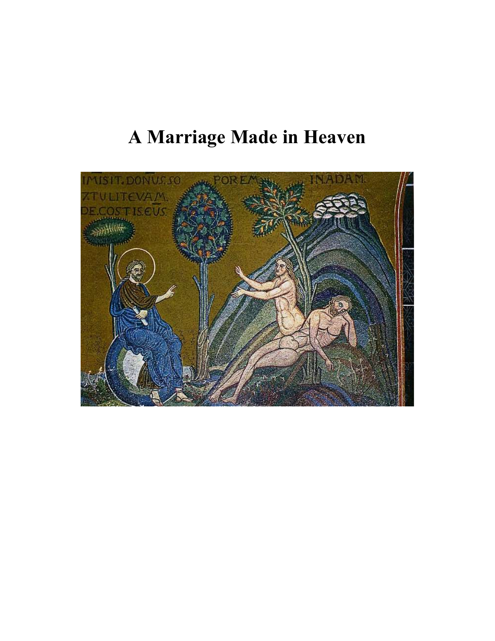# A Marriage Made in Heaven

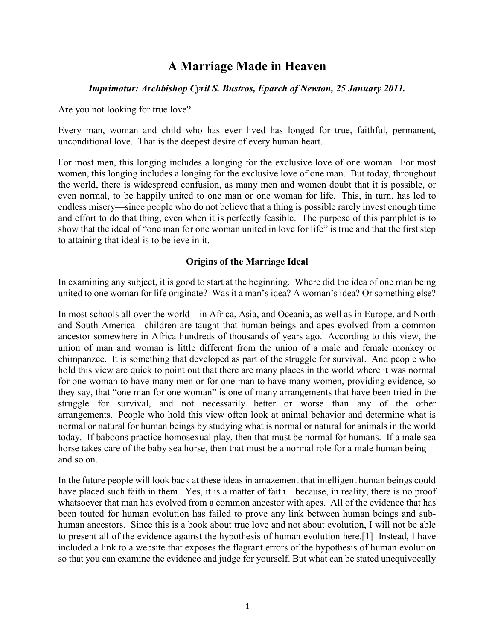# A Marriage Made in Heaven

## Imprimatur: Archbishop Cyril S. Bustros, Eparch of Newton, 25 January 2011.

Are you not looking for true love?

Every man, woman and child who has ever lived has longed for true, faithful, permanent, unconditional love. That is the deepest desire of every human heart.

For most men, this longing includes a longing for the exclusive love of one woman. For most women, this longing includes a longing for the exclusive love of one man. But today, throughout the world, there is widespread confusion, as many men and women doubt that it is possible, or even normal, to be happily united to one man or one woman for life. This, in turn, has led to endless misery—since people who do not believe that a thing is possible rarely invest enough time and effort to do that thing, even when it is perfectly feasible. The purpose of this pamphlet is to show that the ideal of "one man for one woman united in love for life" is true and that the first step to attaining that ideal is to believe in it.

## Origins of the Marriage Ideal

In examining any subject, it is good to start at the beginning. Where did the idea of one man being united to one woman for life originate? Was it a man's idea? A woman's idea? Or something else?

In most schools all over the world—in Africa, Asia, and Oceania, as well as in Europe, and North and South America—children are taught that human beings and apes evolved from a common ancestor somewhere in Africa hundreds of thousands of years ago. According to this view, the union of man and woman is little different from the union of a male and female monkey or chimpanzee. It is something that developed as part of the struggle for survival. And people who hold this view are quick to point out that there are many places in the world where it was normal for one woman to have many men or for one man to have many women, providing evidence, so they say, that "one man for one woman" is one of many arrangements that have been tried in the struggle for survival, and not necessarily better or worse than any of the other arrangements. People who hold this view often look at animal behavior and determine what is normal or natural for human beings by studying what is normal or natural for animals in the world today. If baboons practice homosexual play, then that must be normal for humans. If a male sea horse takes care of the baby sea horse, then that must be a normal role for a male human being and so on.

In the future people will look back at these ideas in amazement that intelligent human beings could have placed such faith in them. Yes, it is a matter of faith—because, in reality, there is no proof whatsoever that man has evolved from a common ancestor with apes. All of the evidence that has been touted for human evolution has failed to prove any link between human beings and subhuman ancestors. Since this is a book about true love and not about evolution, I will not be able to present all of the evidence against the hypothesis of human evolution here.[1] Instead, I have included a link to a website that exposes the flagrant errors of the hypothesis of human evolution so that you can examine the evidence and judge for yourself. But what can be stated unequivocally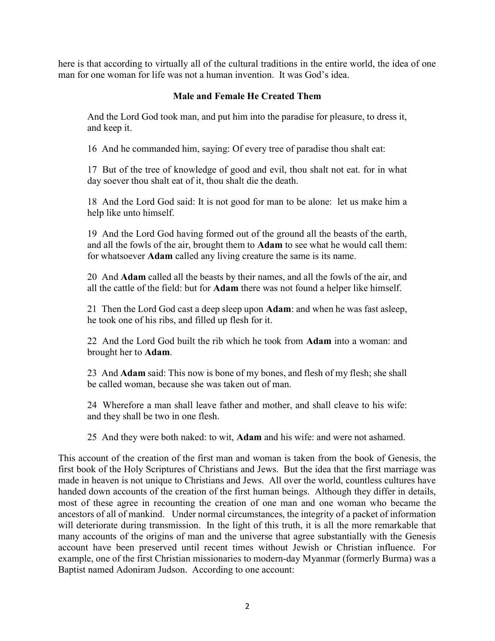here is that according to virtually all of the cultural traditions in the entire world, the idea of one man for one woman for life was not a human invention. It was God's idea.

# Male and Female He Created Them

And the Lord God took man, and put him into the paradise for pleasure, to dress it, and keep it.

16 And he commanded him, saying: Of every tree of paradise thou shalt eat:

17 But of the tree of knowledge of good and evil, thou shalt not eat. for in what day soever thou shalt eat of it, thou shalt die the death.

18 And the Lord God said: It is not good for man to be alone: let us make him a help like unto himself.

19 And the Lord God having formed out of the ground all the beasts of the earth, and all the fowls of the air, brought them to Adam to see what he would call them: for whatsoever Adam called any living creature the same is its name.

20 And Adam called all the beasts by their names, and all the fowls of the air, and all the cattle of the field: but for Adam there was not found a helper like himself.

21 Then the Lord God cast a deep sleep upon Adam: and when he was fast asleep, he took one of his ribs, and filled up flesh for it.

22 And the Lord God built the rib which he took from **Adam** into a woman: and brought her to Adam.

23 And Adam said: This now is bone of my bones, and flesh of my flesh; she shall be called woman, because she was taken out of man.

24 Wherefore a man shall leave father and mother, and shall cleave to his wife: and they shall be two in one flesh.

25 And they were both naked: to wit, Adam and his wife: and were not ashamed.

This account of the creation of the first man and woman is taken from the book of Genesis, the first book of the Holy Scriptures of Christians and Jews. But the idea that the first marriage was made in heaven is not unique to Christians and Jews. All over the world, countless cultures have handed down accounts of the creation of the first human beings. Although they differ in details, most of these agree in recounting the creation of one man and one woman who became the ancestors of all of mankind. Under normal circumstances, the integrity of a packet of information will deteriorate during transmission. In the light of this truth, it is all the more remarkable that many accounts of the origins of man and the universe that agree substantially with the Genesis account have been preserved until recent times without Jewish or Christian influence. For example, one of the first Christian missionaries to modern-day Myanmar (formerly Burma) was a Baptist named Adoniram Judson. According to one account: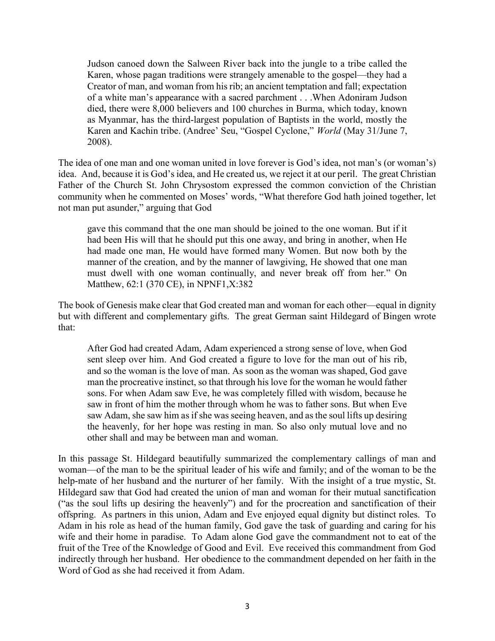Judson canoed down the Salween River back into the jungle to a tribe called the Karen, whose pagan traditions were strangely amenable to the gospel—they had a Creator of man, and woman from his rib; an ancient temptation and fall; expectation of a white man's appearance with a sacred parchment . . .When Adoniram Judson died, there were 8,000 believers and 100 churches in Burma, which today, known as Myanmar, has the third-largest population of Baptists in the world, mostly the Karen and Kachin tribe. (Andree' Seu, "Gospel Cyclone," World (May 31/June 7, 2008).

The idea of one man and one woman united in love forever is God's idea, not man's (or woman's) idea. And, because it is God's idea, and He created us, we reject it at our peril. The great Christian Father of the Church St. John Chrysostom expressed the common conviction of the Christian community when he commented on Moses' words, "What therefore God hath joined together, let not man put asunder," arguing that God

gave this command that the one man should be joined to the one woman. But if it had been His will that he should put this one away, and bring in another, when He had made one man, He would have formed many Women. But now both by the manner of the creation, and by the manner of lawgiving, He showed that one man must dwell with one woman continually, and never break off from her." On Matthew, 62:1 (370 CE), in NPNF1,X:382

The book of Genesis make clear that God created man and woman for each other—equal in dignity but with different and complementary gifts. The great German saint Hildegard of Bingen wrote that:

After God had created Adam, Adam experienced a strong sense of love, when God sent sleep over him. And God created a figure to love for the man out of his rib, and so the woman is the love of man. As soon as the woman was shaped, God gave man the procreative instinct, so that through his love for the woman he would father sons. For when Adam saw Eve, he was completely filled with wisdom, because he saw in front of him the mother through whom he was to father sons. But when Eve saw Adam, she saw him as if she was seeing heaven, and as the soul lifts up desiring the heavenly, for her hope was resting in man. So also only mutual love and no other shall and may be between man and woman.

In this passage St. Hildegard beautifully summarized the complementary callings of man and woman—of the man to be the spiritual leader of his wife and family; and of the woman to be the help-mate of her husband and the nurturer of her family. With the insight of a true mystic, St. Hildegard saw that God had created the union of man and woman for their mutual sanctification ("as the soul lifts up desiring the heavenly") and for the procreation and sanctification of their offspring. As partners in this union, Adam and Eve enjoyed equal dignity but distinct roles. To Adam in his role as head of the human family, God gave the task of guarding and caring for his wife and their home in paradise. To Adam alone God gave the commandment not to eat of the fruit of the Tree of the Knowledge of Good and Evil. Eve received this commandment from God indirectly through her husband. Her obedience to the commandment depended on her faith in the Word of God as she had received it from Adam.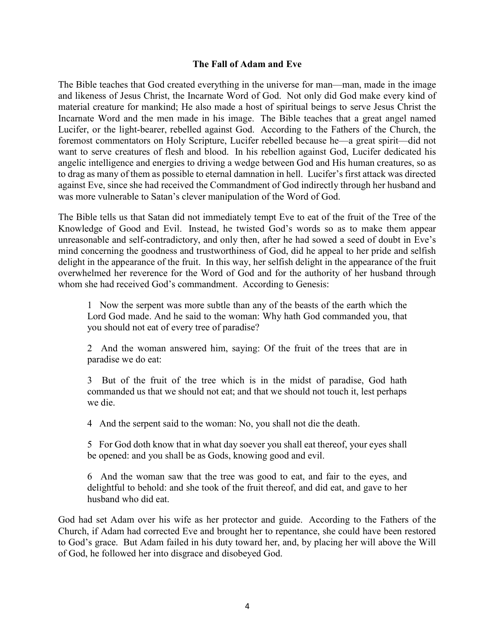#### The Fall of Adam and Eve

The Bible teaches that God created everything in the universe for man—man, made in the image and likeness of Jesus Christ, the Incarnate Word of God. Not only did God make every kind of material creature for mankind; He also made a host of spiritual beings to serve Jesus Christ the Incarnate Word and the men made in his image. The Bible teaches that a great angel named Lucifer, or the light-bearer, rebelled against God. According to the Fathers of the Church, the foremost commentators on Holy Scripture, Lucifer rebelled because he—a great spirit—did not want to serve creatures of flesh and blood. In his rebellion against God, Lucifer dedicated his angelic intelligence and energies to driving a wedge between God and His human creatures, so as to drag as many of them as possible to eternal damnation in hell. Lucifer's first attack was directed against Eve, since she had received the Commandment of God indirectly through her husband and was more vulnerable to Satan's clever manipulation of the Word of God.

The Bible tells us that Satan did not immediately tempt Eve to eat of the fruit of the Tree of the Knowledge of Good and Evil. Instead, he twisted God's words so as to make them appear unreasonable and self-contradictory, and only then, after he had sowed a seed of doubt in Eve's mind concerning the goodness and trustworthiness of God, did he appeal to her pride and selfish delight in the appearance of the fruit. In this way, her selfish delight in the appearance of the fruit overwhelmed her reverence for the Word of God and for the authority of her husband through whom she had received God's commandment. According to Genesis:

1 Now the serpent was more subtle than any of the beasts of the earth which the Lord God made. And he said to the woman: Why hath God commanded you, that you should not eat of every tree of paradise?

2 And the woman answered him, saying: Of the fruit of the trees that are in paradise we do eat:

3 But of the fruit of the tree which is in the midst of paradise, God hath commanded us that we should not eat; and that we should not touch it, lest perhaps we die.

4 And the serpent said to the woman: No, you shall not die the death.

5 For God doth know that in what day soever you shall eat thereof, your eyes shall be opened: and you shall be as Gods, knowing good and evil.

6 And the woman saw that the tree was good to eat, and fair to the eyes, and delightful to behold: and she took of the fruit thereof, and did eat, and gave to her husband who did eat.

God had set Adam over his wife as her protector and guide. According to the Fathers of the Church, if Adam had corrected Eve and brought her to repentance, she could have been restored to God's grace. But Adam failed in his duty toward her, and, by placing her will above the Will of God, he followed her into disgrace and disobeyed God.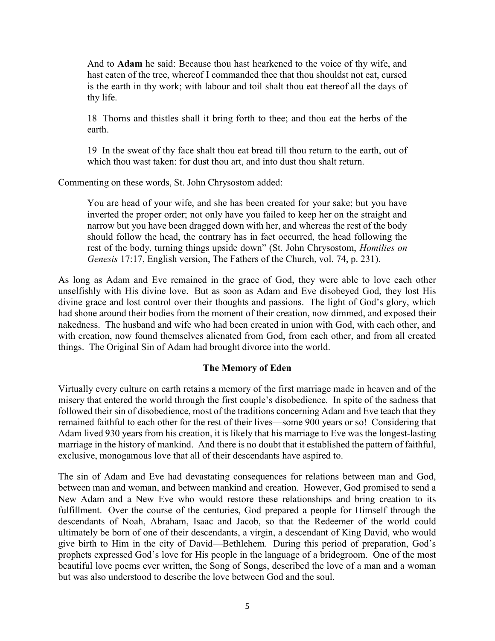And to Adam he said: Because thou hast hearkened to the voice of thy wife, and hast eaten of the tree, whereof I commanded thee that thou shouldst not eat, cursed is the earth in thy work; with labour and toil shalt thou eat thereof all the days of thy life.

18 Thorns and thistles shall it bring forth to thee; and thou eat the herbs of the earth.

19 In the sweat of thy face shalt thou eat bread till thou return to the earth, out of which thou wast taken: for dust thou art, and into dust thou shalt return.

Commenting on these words, St. John Chrysostom added:

You are head of your wife, and she has been created for your sake; but you have inverted the proper order; not only have you failed to keep her on the straight and narrow but you have been dragged down with her, and whereas the rest of the body should follow the head, the contrary has in fact occurred, the head following the rest of the body, turning things upside down" (St. John Chrysostom, Homilies on Genesis 17:17, English version, The Fathers of the Church, vol. 74, p. 231).

As long as Adam and Eve remained in the grace of God, they were able to love each other unselfishly with His divine love. But as soon as Adam and Eve disobeyed God, they lost His divine grace and lost control over their thoughts and passions. The light of God's glory, which had shone around their bodies from the moment of their creation, now dimmed, and exposed their nakedness. The husband and wife who had been created in union with God, with each other, and with creation, now found themselves alienated from God, from each other, and from all created things. The Original Sin of Adam had brought divorce into the world.

#### The Memory of Eden

Virtually every culture on earth retains a memory of the first marriage made in heaven and of the misery that entered the world through the first couple's disobedience. In spite of the sadness that followed their sin of disobedience, most of the traditions concerning Adam and Eve teach that they remained faithful to each other for the rest of their lives—some 900 years or so! Considering that Adam lived 930 years from his creation, it is likely that his marriage to Eve was the longest-lasting marriage in the history of mankind. And there is no doubt that it established the pattern of faithful, exclusive, monogamous love that all of their descendants have aspired to.

The sin of Adam and Eve had devastating consequences for relations between man and God, between man and woman, and between mankind and creation. However, God promised to send a New Adam and a New Eve who would restore these relationships and bring creation to its fulfillment. Over the course of the centuries, God prepared a people for Himself through the descendants of Noah, Abraham, Isaac and Jacob, so that the Redeemer of the world could ultimately be born of one of their descendants, a virgin, a descendant of King David, who would give birth to Him in the city of David—Bethlehem. During this period of preparation, God's prophets expressed God's love for His people in the language of a bridegroom. One of the most beautiful love poems ever written, the Song of Songs, described the love of a man and a woman but was also understood to describe the love between God and the soul.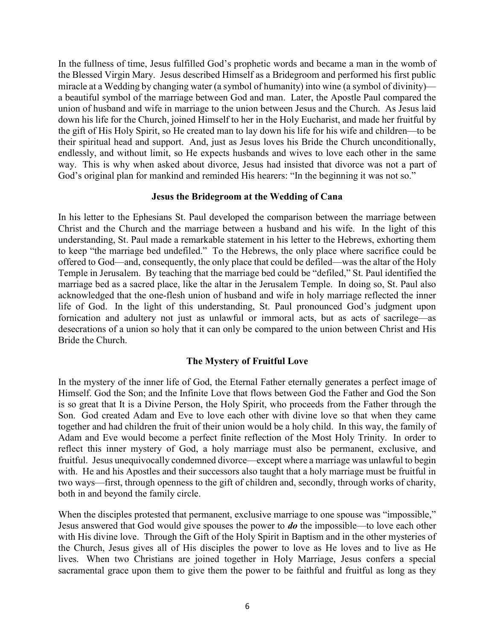In the fullness of time, Jesus fulfilled God's prophetic words and became a man in the womb of the Blessed Virgin Mary. Jesus described Himself as a Bridegroom and performed his first public miracle at a Wedding by changing water (a symbol of humanity) into wine (a symbol of divinity) a beautiful symbol of the marriage between God and man. Later, the Apostle Paul compared the union of husband and wife in marriage to the union between Jesus and the Church. As Jesus laid down his life for the Church, joined Himself to her in the Holy Eucharist, and made her fruitful by the gift of His Holy Spirit, so He created man to lay down his life for his wife and children—to be their spiritual head and support. And, just as Jesus loves his Bride the Church unconditionally, endlessly, and without limit, so He expects husbands and wives to love each other in the same way. This is why when asked about divorce, Jesus had insisted that divorce was not a part of God's original plan for mankind and reminded His hearers: "In the beginning it was not so."

#### Jesus the Bridegroom at the Wedding of Cana

In his letter to the Ephesians St. Paul developed the comparison between the marriage between Christ and the Church and the marriage between a husband and his wife. In the light of this understanding, St. Paul made a remarkable statement in his letter to the Hebrews, exhorting them to keep "the marriage bed undefiled." To the Hebrews, the only place where sacrifice could be offered to God—and, consequently, the only place that could be defiled—was the altar of the Holy Temple in Jerusalem. By teaching that the marriage bed could be "defiled," St. Paul identified the marriage bed as a sacred place, like the altar in the Jerusalem Temple. In doing so, St. Paul also acknowledged that the one-flesh union of husband and wife in holy marriage reflected the inner life of God. In the light of this understanding, St. Paul pronounced God's judgment upon fornication and adultery not just as unlawful or immoral acts, but as acts of sacrilege—as desecrations of a union so holy that it can only be compared to the union between Christ and His Bride the Church.

#### The Mystery of Fruitful Love

In the mystery of the inner life of God, the Eternal Father eternally generates a perfect image of Himself. God the Son; and the Infinite Love that flows between God the Father and God the Son is so great that It is a Divine Person, the Holy Spirit, who proceeds from the Father through the Son. God created Adam and Eve to love each other with divine love so that when they came together and had children the fruit of their union would be a holy child. In this way, the family of Adam and Eve would become a perfect finite reflection of the Most Holy Trinity. In order to reflect this inner mystery of God, a holy marriage must also be permanent, exclusive, and fruitful. Jesus unequivocally condemned divorce—except where a marriage was unlawful to begin with. He and his Apostles and their successors also taught that a holy marriage must be fruitful in two ways—first, through openness to the gift of children and, secondly, through works of charity, both in and beyond the family circle.

When the disciples protested that permanent, exclusive marriage to one spouse was "impossible," Jesus answered that God would give spouses the power to **do** the impossible—to love each other with His divine love. Through the Gift of the Holy Spirit in Baptism and in the other mysteries of the Church, Jesus gives all of His disciples the power to love as He loves and to live as He lives. When two Christians are joined together in Holy Marriage, Jesus confers a special sacramental grace upon them to give them the power to be faithful and fruitful as long as they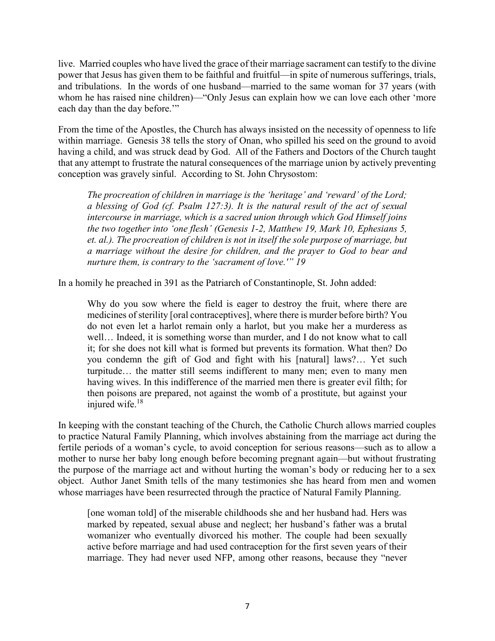live. Married couples who have lived the grace of their marriage sacrament can testify to the divine power that Jesus has given them to be faithful and fruitful—in spite of numerous sufferings, trials, and tribulations. In the words of one husband—married to the same woman for 37 years (with whom he has raised nine children)—"Only Jesus can explain how we can love each other 'more each day than the day before."

From the time of the Apostles, the Church has always insisted on the necessity of openness to life within marriage. Genesis 38 tells the story of Onan, who spilled his seed on the ground to avoid having a child, and was struck dead by God. All of the Fathers and Doctors of the Church taught that any attempt to frustrate the natural consequences of the marriage union by actively preventing conception was gravely sinful. According to St. John Chrysostom:

The procreation of children in marriage is the 'heritage' and 'reward' of the Lord; a blessing of God (cf. Psalm 127:3). It is the natural result of the act of sexual intercourse in marriage, which is a sacred union through which God Himself joins the two together into 'one flesh' (Genesis 1-2, Matthew 19, Mark 10, Ephesians 5, et. al.). The procreation of children is not in itself the sole purpose of marriage, but a marriage without the desire for children, and the prayer to God to bear and nurture them, is contrary to the 'sacrament of love.'" 19

In a homily he preached in 391 as the Patriarch of Constantinople, St. John added:

Why do you sow where the field is eager to destroy the fruit, where there are medicines of sterility [oral contraceptives], where there is murder before birth? You do not even let a harlot remain only a harlot, but you make her a murderess as well… Indeed, it is something worse than murder, and I do not know what to call it; for she does not kill what is formed but prevents its formation. What then? Do you condemn the gift of God and fight with his [natural] laws?… Yet such turpitude… the matter still seems indifferent to many men; even to many men having wives. In this indifference of the married men there is greater evil filth; for then poisons are prepared, not against the womb of a prostitute, but against your injured wife.<sup>18</sup>

In keeping with the constant teaching of the Church, the Catholic Church allows married couples to practice Natural Family Planning, which involves abstaining from the marriage act during the fertile periods of a woman's cycle, to avoid conception for serious reasons—such as to allow a mother to nurse her baby long enough before becoming pregnant again—but without frustrating the purpose of the marriage act and without hurting the woman's body or reducing her to a sex object. Author Janet Smith tells of the many testimonies she has heard from men and women whose marriages have been resurrected through the practice of Natural Family Planning.

[one woman told] of the miserable childhoods she and her husband had. Hers was marked by repeated, sexual abuse and neglect; her husband's father was a brutal womanizer who eventually divorced his mother. The couple had been sexually active before marriage and had used contraception for the first seven years of their marriage. They had never used NFP, among other reasons, because they "never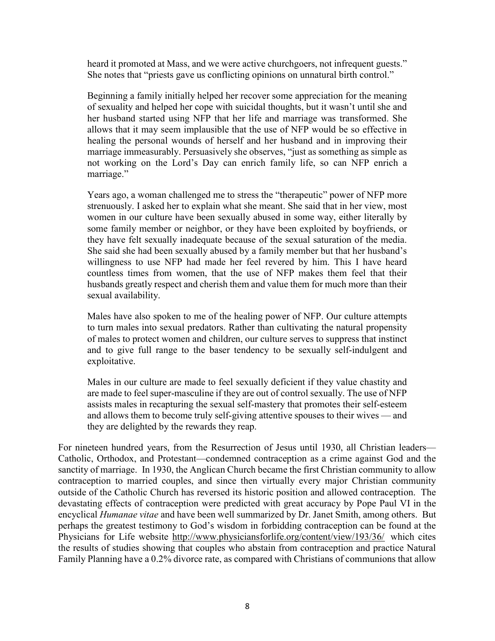heard it promoted at Mass, and we were active churchgoers, not infrequent guests." She notes that "priests gave us conflicting opinions on unnatural birth control."

Beginning a family initially helped her recover some appreciation for the meaning of sexuality and helped her cope with suicidal thoughts, but it wasn't until she and her husband started using NFP that her life and marriage was transformed. She allows that it may seem implausible that the use of NFP would be so effective in healing the personal wounds of herself and her husband and in improving their marriage immeasurably. Persuasively she observes, "just as something as simple as not working on the Lord's Day can enrich family life, so can NFP enrich a marriage."

Years ago, a woman challenged me to stress the "therapeutic" power of NFP more strenuously. I asked her to explain what she meant. She said that in her view, most women in our culture have been sexually abused in some way, either literally by some family member or neighbor, or they have been exploited by boyfriends, or they have felt sexually inadequate because of the sexual saturation of the media. She said she had been sexually abused by a family member but that her husband's willingness to use NFP had made her feel revered by him. This I have heard countless times from women, that the use of NFP makes them feel that their husbands greatly respect and cherish them and value them for much more than their sexual availability.

Males have also spoken to me of the healing power of NFP. Our culture attempts to turn males into sexual predators. Rather than cultivating the natural propensity of males to protect women and children, our culture serves to suppress that instinct and to give full range to the baser tendency to be sexually self-indulgent and exploitative.

Males in our culture are made to feel sexually deficient if they value chastity and are made to feel super-masculine if they are out of control sexually. The use of NFP assists males in recapturing the sexual self-mastery that promotes their self-esteem and allows them to become truly self-giving attentive spouses to their wives — and they are delighted by the rewards they reap.

For nineteen hundred years, from the Resurrection of Jesus until 1930, all Christian leaders— Catholic, Orthodox, and Protestant—condemned contraception as a crime against God and the sanctity of marriage. In 1930, the Anglican Church became the first Christian community to allow contraception to married couples, and since then virtually every major Christian community outside of the Catholic Church has reversed its historic position and allowed contraception. The devastating effects of contraception were predicted with great accuracy by Pope Paul VI in the encyclical Humanae vitae and have been well summarized by Dr. Janet Smith, among others. But perhaps the greatest testimony to God's wisdom in forbidding contraception can be found at the Physicians for Life website http://www.physiciansforlife.org/content/view/193/36/ which cites the results of studies showing that couples who abstain from contraception and practice Natural Family Planning have a 0.2% divorce rate, as compared with Christians of communions that allow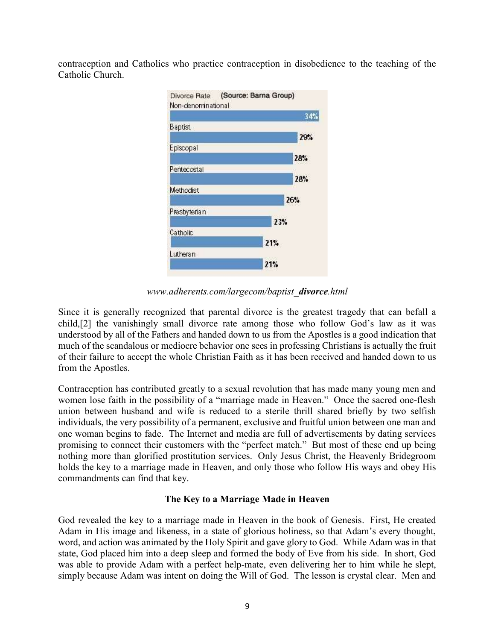contraception and Catholics who practice contraception in disobedience to the teaching of the Catholic Church.



www.adherents.com/largecom/baptist\_divorce.html

Since it is generally recognized that parental divorce is the greatest tragedy that can befall a child,[2] the vanishingly small divorce rate among those who follow God's law as it was understood by all of the Fathers and handed down to us from the Apostles is a good indication that much of the scandalous or mediocre behavior one sees in professing Christians is actually the fruit of their failure to accept the whole Christian Faith as it has been received and handed down to us from the Apostles.

Contraception has contributed greatly to a sexual revolution that has made many young men and women lose faith in the possibility of a "marriage made in Heaven." Once the sacred one-flesh union between husband and wife is reduced to a sterile thrill shared briefly by two selfish individuals, the very possibility of a permanent, exclusive and fruitful union between one man and one woman begins to fade. The Internet and media are full of advertisements by dating services promising to connect their customers with the "perfect match." But most of these end up being nothing more than glorified prostitution services. Only Jesus Christ, the Heavenly Bridegroom holds the key to a marriage made in Heaven, and only those who follow His ways and obey His commandments can find that key.

# The Key to a Marriage Made in Heaven

God revealed the key to a marriage made in Heaven in the book of Genesis. First, He created Adam in His image and likeness, in a state of glorious holiness, so that Adam's every thought, word, and action was animated by the Holy Spirit and gave glory to God. While Adam was in that state, God placed him into a deep sleep and formed the body of Eve from his side. In short, God was able to provide Adam with a perfect help-mate, even delivering her to him while he slept, simply because Adam was intent on doing the Will of God. The lesson is crystal clear. Men and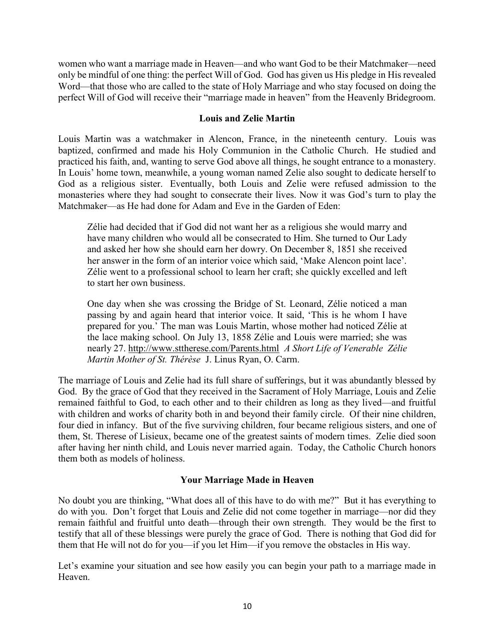women who want a marriage made in Heaven—and who want God to be their Matchmaker—need only be mindful of one thing: the perfect Will of God. God has given us His pledge in His revealed Word—that those who are called to the state of Holy Marriage and who stay focused on doing the perfect Will of God will receive their "marriage made in heaven" from the Heavenly Bridegroom.

# Louis and Zelie Martin

Louis Martin was a watchmaker in Alencon, France, in the nineteenth century. Louis was baptized, confirmed and made his Holy Communion in the Catholic Church. He studied and practiced his faith, and, wanting to serve God above all things, he sought entrance to a monastery. In Louis' home town, meanwhile, a young woman named Zelie also sought to dedicate herself to God as a religious sister. Eventually, both Louis and Zelie were refused admission to the monasteries where they had sought to consecrate their lives. Now it was God's turn to play the Matchmaker—as He had done for Adam and Eve in the Garden of Eden:

Zélie had decided that if God did not want her as a religious she would marry and have many children who would all be consecrated to Him. She turned to Our Lady and asked her how she should earn her dowry. On December 8, 1851 she received her answer in the form of an interior voice which said, 'Make Alencon point lace'. Zélie went to a professional school to learn her craft; she quickly excelled and left to start her own business.

One day when she was crossing the Bridge of St. Leonard, Zélie noticed a man passing by and again heard that interior voice. It said, 'This is he whom I have prepared for you.' The man was Louis Martin, whose mother had noticed Zélie at the lace making school. On July 13, 1858 Zélie and Louis were married; she was nearly 27. http://www.sttherese.com/Parents.html A Short Life of Venerable Zélie Martin Mother of St. Thérèse J. Linus Ryan, O. Carm.

The marriage of Louis and Zelie had its full share of sufferings, but it was abundantly blessed by God. By the grace of God that they received in the Sacrament of Holy Marriage, Louis and Zelie remained faithful to God, to each other and to their children as long as they lived—and fruitful with children and works of charity both in and beyond their family circle. Of their nine children, four died in infancy. But of the five surviving children, four became religious sisters, and one of them, St. Therese of Lisieux, became one of the greatest saints of modern times. Zelie died soon after having her ninth child, and Louis never married again. Today, the Catholic Church honors them both as models of holiness.

# Your Marriage Made in Heaven

No doubt you are thinking, "What does all of this have to do with me?" But it has everything to do with you. Don't forget that Louis and Zelie did not come together in marriage—nor did they remain faithful and fruitful unto death—through their own strength. They would be the first to testify that all of these blessings were purely the grace of God. There is nothing that God did for them that He will not do for you—if you let Him—if you remove the obstacles in His way.

Let's examine your situation and see how easily you can begin your path to a marriage made in Heaven.